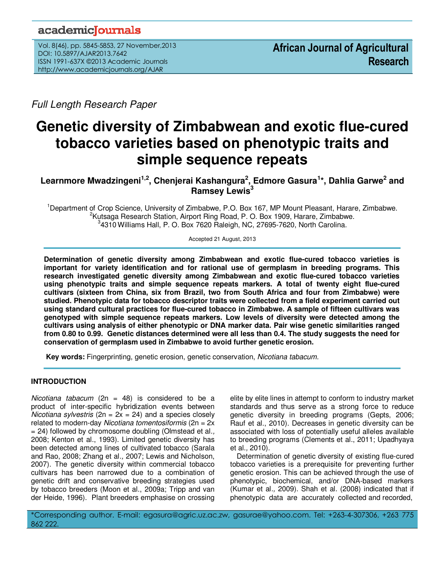## academicoournals

Vol. 8(46), pp. 5845-5853, 27 November,2013 DOI: 10.5897/AJAR2013.7642 ISSN 1991-637X ©2013 Academic Journals http://www.academicjournals.org/AJAR

Full Length Research Paper

# **Genetic diversity of Zimbabwean and exotic flue-cured tobacco varieties based on phenotypic traits and simple sequence repeats**

**Learnmore Mwadzingeni1,2, Chenjerai Kashangura<sup>2</sup> , Edmore Gasura<sup>1</sup> \*, Dahlia Garwe<sup>2</sup> and Ramsey Lewis<sup>3</sup>**

<sup>1</sup>Department of Crop Science, University of Zimbabwe, P.O. Box 167, MP Mount Pleasant, Harare, Zimbabwe. <sup>2</sup>Kutsaga Research Station, Airport Ring Road, P. O. Box 1909, Harare, Zimbabwe. 3 4310 Williams Hall, P. O. Box 7620 Raleigh, NC, 27695-7620, North Carolina.

Accepted 21 August, 2013

**Determination of genetic diversity among Zimbabwean and exotic flue-cured tobacco varieties is important for variety identification and for rational use of germplasm in breeding programs. This research investigated genetic diversity among Zimbabwean and exotic flue-cured tobacco varieties using phenotypic traits and simple sequence repeats markers. A total of twenty eight flue-cured cultivars (sixteen from China, six from Brazil, two from South Africa and four from Zimbabwe) were studied. Phenotypic data for tobacco descriptor traits were collected from a field experiment carried out using standard cultural practices for flue-cured tobacco in Zimbabwe. A sample of fifteen cultivars was genotyped with simple sequence repeats markers. Low levels of diversity were detected among the cultivars using analysis of either phenotypic or DNA marker data. Pair wise genetic similarities ranged from 0.80 to 0.99. Genetic distances determined were all less than 0.4. The study suggests the need for conservation of germplasm used in Zimbabwe to avoid further genetic erosion.** 

 **Key words:** Fingerprinting, genetic erosion, genetic conservation, Nicotiana tabacum.

## **INTRODUCTION**

Nicotiana tabacum (2n = 48) is considered to be a product of inter-specific hybridization events between Nicotiana sylvestris ( $2n = 2x = 24$ ) and a species closely related to modern-day Nicotiana tomentosiformis ( $2n = 2x$  $= 24$ ) followed by chromosome doubling (Olmstead et al., 2008; Kenton et al., 1993). Limited genetic diversity has been detected among lines of cultivated tobacco (Sarala and Rao, 2008; Zhang et al., 2007; Lewis and Nicholson, 2007). The genetic diversity within commercial tobacco cultivars has been narrowed due to a combination of genetic drift and conservative breeding strategies used by tobacco breeders (Moon et al., 2009a; Tripp and van der Heide, 1996). Plant breeders emphasise on crossing

elite by elite lines in attempt to conform to industry market standards and thus serve as a strong force to reduce genetic diversity in breeding programs (Gepts, 2006; Rauf et al., 2010). Decreases in genetic diversity can be associated with loss of potentially useful alleles available to breeding programs (Clements et al., 2011; Upadhyaya et al., 2010).

Determination of genetic diversity of existing flue-cured tobacco varieties is a prerequisite for preventing further genetic erosion. This can be achieved through the use of phenotypic, biochemical, and/or DNA-based markers (Kumar et al., 2009). Shah et al. (2008) indicated that if phenotypic data are accurately collected and recorded,

\*Corresponding author. E-mail: egasura@agric.uz.ac.zw, gasurae@yahoo.com. Tel: +263-4-307306, +263 775 862 222.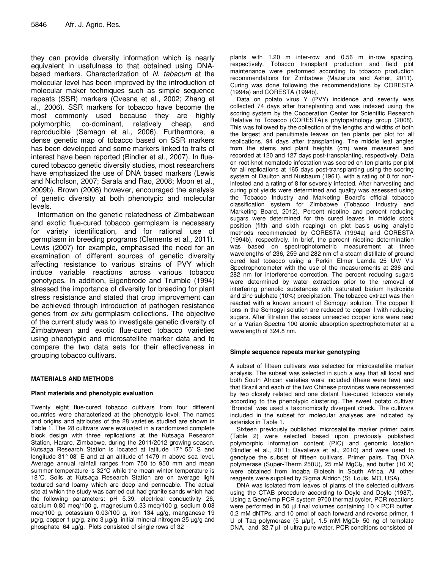they can provide diversity information which is nearly equivalent in usefulness to that obtained using DNAbased markers. Characterization of N. tabacum at the molecular level has been improved by the introduction of molecular maker techniques such as simple sequence repeats (SSR) markers (Ovesna et al., 2002; Zhang et al., 2006). SSR markers for tobacco have become the most commonly used because they are highly polymorphic, co-dominant, relatively cheap, and reproducible (Semagn et al., 2006). Furthermore, a dense genetic map of tobacco based on SSR markers has been developed and some markers linked to traits of interest have been reported (Bindler et al., 2007). In fluecured tobacco genetic diversity studies, most researchers have emphasized the use of DNA based markers (Lewis and Nicholson, 2007; Sarala and Rao, 2008; Moon et al., 2009b). Brown (2008) however, encouraged the analysis of genetic diversity at both phenotypic and molecular levels.

Information on the genetic relatedness of Zimbabwean and exotic flue-cured tobacco germplasm is necessary for variety identification, and for rational use of germplasm in breeding programs (Clements et al., 2011). Lewis (2007) for example, emphasised the need for an examination of different sources of genetic diversity affecting resistance to various strains of PVY which induce variable reactions across various tobacco genotypes. In addition, Eigenbrode and Trumble (1994) stressed the importance of diversity for breeding for plant stress resistance and stated that crop improvement can be achieved through introduction of pathogen resistance genes from ex situ germplasm collections. The objective of the current study was to investigate genetic diversity of Zimbabwean and exotic flue-cured tobacco varieties using phenotypic and microsatellite marker data and to compare the two data sets for their effectiveness in grouping tobacco cultivars.

#### **MATERIALS AND METHODS**

#### **Plant materials and phenotypic evaluation**

Twenty eight flue-cured tobacco cultivars from four different countries were characterized at the phenotypic level. The names and origins and attributes of the 28 varieties studied are shown in Table 1. The 28 cultivars were evaluated in a randomized complete block design with three replications at the Kutsaga Research Station, Harare, Zimbabwe, during the 2011/2012 growing season. Kutsaga Research Station is located at latitude 17° 55' S and longitude 31° 08' E and at an altitude of 1479 m above sea level. Average annual rainfall ranges from 750 to 950 mm and mean summer temperature is 32°C while the mean winter temperature is 18°C. Soils at Kutsaga Research Station are on average light textured sand loamy which are deep and permeable. The actual site at which the study was carried out had granite sands which had the following parameters: pH 5.39, electrical conductivity 26, calcium 0.80 meq/100 g, magnesium 0.33 meq/100 g, sodium 0.08 meq/100 g, potassium 0.03/100 g, iron 134 µg/g, manganese 19 µg/g, copper 1 µg/g, zinc 3 µg/g, initial mineral nitrogen 25 µg/g and phosphate 64 µg/g. Plots consisted of single rows of 32

plants with 1.20 m inter-row and 0.56 m in-row spacing, respectively. Tobacco transplant production and field plot maintenance were performed according to tobacco production recommendations for Zimbabwe (Mazarura and Asher, 2011). Curing was done following the recommendations by CORESTA (1994a) and CORESTA (1994b).

Data on potato virus Y (PVY) incidence and severity was collected 74 days after transplanting and was indexed using the scoring system by the Cooperation Center for Scientific Research Relative to Tobacco (CORESTA)'s phytopathology group (2008). This was followed by the collection of the lengths and widths of both the largest and penultimate leaves on ten plants per plot for all replications, 94 days after transplanting. The middle leaf angles from the stems and plant heights (cm) were measured and recorded at 120 and 127 days post-transplanting, respectively. Data on root-knot nematode infestation was scored on ten plants per plot for all replications at 165 days post-transplanting using the scoring system of Daulton and Nusbaum (1961), with a rating of 0 for noninfested and a rating of 8 for severely infected. After harvesting and curing plot yields were determined and quality was assessed using the Tobacco Industry and Marketing Board's official tobacco classification system for Zimbabwe (Tobacco Industry and Marketing Board, 2012). Percent nicotine and percent reducing sugars were determined for the cured leaves in middle stock position (fifth and sixth reaping) on plot basis using analytic methods recommended by CORESTA (1994a) and CORESTA (1994b), respectively. In brief, the percent nicotine determination was based on spectrophotometric measurement at three wavelengths of 236, 259 and 282 nm of a steam distillate of ground cured leaf tobacco using a Perkin Elmer Lamda 25 UV/ Vis Spectrophotometer with the use of the measurements at 236 and 282 nm for interference correction. The percent reducing sugars were determined by water extraction prior to the removal of interfering phenolic substances with saturated barium hydroxide and zinc sulphate (10%) precipitation. The tobacco extract was then reacted with a known amount of Somogyi solution. The copper II ions in the Somogyi solution are reduced to copper I with reducing sugars. After filtration the excess unreacted copper ions were read on a Varian Spectra 100 atomic absorption spectrophotometer at a wavelength of 324.8 nm.

#### **Simple sequence repeats marker genotyping**

A subset of fifteen cultivars was selected for microsatellite marker analysis. The subset was selected in such a way that all local and both South African varieties were included (these were few) and that Brazil and each of the two Chinese provinces were represented by two closely related and one distant flue-cured tobacco variety according to the phenotypic clustering. The sweet potato cultivar 'Brondal' was used a taxonomically divergent check. The cultivars included in the subset for molecular analyses are indicated by asterisks in Table 1.

Sixteen previously published microsatellite marker primer pairs (Table 2) were selected based upon previously published polymorphic information content (PIC) and genomic location (Bindler et al., 2011; Davalieva et al., 2010) and were used to genotype the subset of fifteen cultivars. Primer pairs, Taq DNA polymerase (Super-Therm 250U), 25 mM  $MgCl<sub>2</sub>$ , and buffer (10 X) were obtained from Inqaba Biotech in South Africa. All other reagents were supplied by Sigma Aldrich (St. Louis, MO, USA).

DNA was isolated from leaves of plants of the selected cultivars using the CTAB procedure according to Doyle and Doyle (1987). Using a GeneAmp PCR system 9700 thermal cycler, PCR reactions were performed in 50 µl final volumes containing 10 x PCR buffer, 0.2 mM dNTPs, and 10 pmol of each forward and reverse primer, 1 U of Taq polymerase  $(5 \mu/\mu l)$ , 1.5 mM MgCl<sub>2</sub> 50 ng of template DNA, and 32.7 µl of ultra pure water. PCR conditions consisted of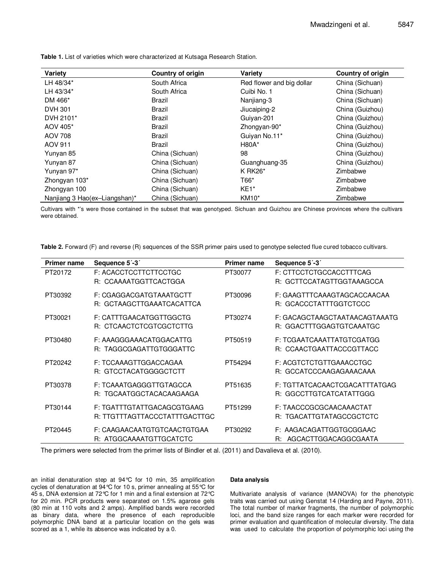| Variety                       | <b>Country of origin</b> | Variety                   | Country of origin |
|-------------------------------|--------------------------|---------------------------|-------------------|
| LH 48/34*                     | South Africa             | Red flower and big dollar | China (Sichuan)   |
| LH 43/34*                     | South Africa             | Cuibi No. 1               | China (Sichuan)   |
| DM 466*                       | Brazil                   | Nanjiang-3                | China (Sichuan)   |
| <b>DVH 301</b>                | Brazil                   | Jiucaiping-2              | China (Guizhou)   |
| DVH 2101*                     | Brazil                   | Guiyan-201                | China (Guizhou)   |
| AOV 405*                      | Brazil                   | Zhongyan-90*              | China (Guizhou)   |
| <b>AOV 708</b>                | Brazil                   | Guiyan No.11*             | China (Guizhou)   |
| <b>AOV 911</b>                | Brazil                   | $H80A*$                   | China (Guizhou)   |
| Yunyan 85                     | China (Sichuan)          | 98                        | China (Guizhou)   |
| Yunyan 87                     | China (Sichuan)          | Guanghuang-35             | China (Guizhou)   |
| Yunyan 97*                    | China (Sichuan)          | $K$ RK26 $*$              | Zimbabwe          |
| Zhongyan 103*                 | China (Sichuan)          | T66*                      | Zimbabwe          |
| Zhongyan 100                  | China (Sichuan)          | $KE1*$                    | Zimbabwe          |
| Nanjiang 3 Hao(ex-Liangshan)* | China (Sichuan)          | <b>KM10*</b>              | Zimbabwe          |

**Table 1.** List of varieties which were characterized at Kutsaga Research Station.

Cultivars with \*'s were those contained in the subset that was genotyped. Sichuan and Guizhou are Chinese provinces where the cultivars were obtained.

**Table 2.** Forward (F) and reverse (R) sequences of the SSR primer pairs used to genotype selected flue cured tobacco cultivars.

| <b>Primer name</b> | Sequence 5'-3'                                              | <b>Primer name</b> | Sequence 5'-3'                                            |
|--------------------|-------------------------------------------------------------|--------------------|-----------------------------------------------------------|
| PT20172            | F: ACACCTCCTTCTTCCTGC<br>R: CCAAAATGGTTCACTGGA              | PT30077            | F: CTTCCTCTGCCACCTTTCAG<br>R: GCTTCCATAGTTGGTAAAGCCA      |
| PT30392            | F: CGAGGACGATGTAAATGCTT<br>R: GCTAAGCTTGAAATCACATTCA        | PT30096            | F: GAAGTTTCAAAGTAGCACCAACAA<br>R: GCACCCTATTTGGTCTCCC     |
| PT30021            | F: CATTTGAACATGGTTGGCTG<br>R: CTCAACTCTCGTCGCTCTTG          | PT30274            | F: GACAGCTAAGCTAATAACAGTAAATG<br>R: GGACTTTGGAGTGTCAAATGC |
| PT30480            | F: AAAGGGAAACATGGACATTG<br>R: TAGGCGAGATTGTGGGATTC          | PT50519            | F: TCGAATCAAATTATGTCGATGG<br>R: CCAACTGAATTACCCGTTACC     |
| PT20242            | F: TCCAAAGTTGGACCAGAA<br>R: GTCCTACATGGGGCTCTT              | PT54294            | F: ACGTCTCTGTTGAAACCTGC<br>R: GCCATCCCAAGAGAAACAAA        |
| PT30378            | F: TCAAATGAGGGTTGTAGCCA<br>R: TGCAATGGCTACACAAGAAGA         | PT51635            | F: TGTTATCACAACTCGACATTTATGAG<br>R: GGCCTTGTCATCATATTGGG  |
| PT30144            | F: TGATTTGTATTGACAGCGTGAAG<br>R: TTGTTTAGTTACCCTATTTGACTTGC | PT51299            | F: TAACCCGCGCAACAAACTAT<br>R: TGACATTGTATAGCCGCTCTC       |
| PT20445            | F: CAAGAACAATGTGTCAACTGTGAA<br>R: ATGGCAAAATGTTGCATCTC      | PT30292            | F: AAGACAGATTGGTGCGGAAC<br>AGCACTTGGACAGGCGAATA<br>R:     |

The primers were selected from the primer lists of Bindler et al. (2011) and Davalieva et al. (2010).

an initial denaturation step at 94°C for 10 min, 35 amplification cycles of denaturation at 94°C for 10 s, primer annealing at 55°C for 45 s, DNA extension at 72°C for 1 min and a final extension at 72°C for 20 min. PCR products were separated on 1.5% agarose gels (80 min at 110 volts and 2 amps). Amplified bands were recorded as binary data, where the presence of each reproducible polymorphic DNA band at a particular location on the gels was scored as a 1, while its absence was indicated by a 0.

#### **Data analysis**

Multivariate analysis of variance (MANOVA) for the phenotypic traits was carried out using Genstat 14 (Harding and Payne, 2011). The total number of marker fragments, the number of polymorphic loci, and the band size ranges for each marker were recorded for primer evaluation and quantification of molecular diversity. The data was used to calculate the proportion of polymorphic loci using the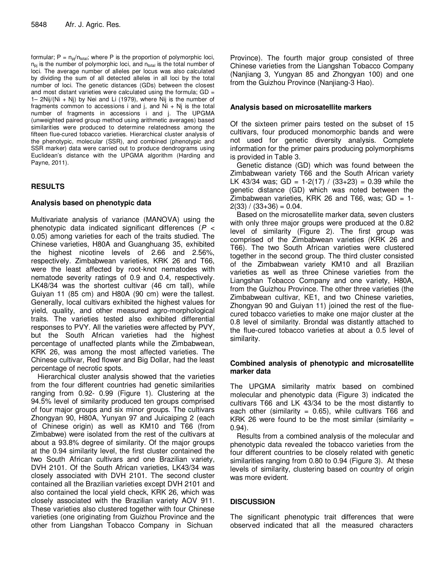formular;  $P = n_{pi}/n_{total}$ ; where P is the proportion of polymorphic loci,  $n_{\text{pi}}$  is the number of polymorphic loci, and  $n_{\text{total}}$  is the total number of loci. The average number of alleles per locus was also calculated by dividing the sum of all detected alleles in all loci by the total number of loci. The genetic distances (GDs) between the closest and most distant varieties were calculated using the formula;  $GD =$ 1– 2Nij/(Ni + Nj) by Nei and Li (1979), where Nij is the number of fragments common to accessions i and j, and  $Ni + Ni$  is the total number of fragments in accessions i and j. The UPGMA (unweighted paired group method using arithmetic averages) based similarities were produced to determine relatedness among the fifteen flue-cured tobacco varieties. Hierarchical cluster analysis of the phenotypic, molecular (SSR), and combined (phenotypic and SSR marker) data were carried out to produce dendrograms using Euclidean's distance with the UPGMA algorithm (Harding and Payne, 2011).

## **RESULTS**

## **Analysis based on phenotypic data**

Multivariate analysis of variance (MANOVA) using the phenotypic data indicated significant differences ( $P \leq$ 0.05) among varieties for each of the traits studied. The Chinese varieties, H80A and Guanghuang 35, exhibited the highest nicotine levels of 2.66 and 2.56%, respectively. Zimbabwean varieties, KRK 26 and T66, were the least affected by root-knot nematodes with nematode severity ratings of 0.9 and 0.4, respectively. LK48/34 was the shortest cultivar (46 cm tall), while Guiyan 11 (85 cm) and H80A (90 cm) were the tallest. Generally, local cultivars exhibited the highest values for yield, quality, and other measured agro-morphological traits. The varieties tested also exhibited differential responses to PVY. All the varieties were affected by PVY, but the South African varieties had the highest percentage of unaffected plants while the Zimbabwean, KRK 26, was among the most affected varieties. The Chinese cultivar, Red flower and Big Dollar, had the least percentage of necrotic spots.

Hierarchical cluster analysis showed that the varieties from the four different countries had genetic similarities ranging from 0.92- 0.99 (Figure 1). Clustering at the 94.5% level of similarity produced ten groups comprised of four major groups and six minor groups. The cultivars Zhongyan 90, H80A, Yunyan 97 and Juicaiping 2 (each of Chinese origin) as well as KM10 and T66 (from Zimbabwe) were isolated from the rest of the cultivars at about a 93.8% degree of similarity. Of the major groups at the 0.94 similarity level, the first cluster contained the two South African cultivars and one Brazilian variety, DVH 2101. Of the South African varieties, LK43/34 was closely associated with DVH 2101. The second cluster contained all the Brazilian varieties except DVH 2101 and also contained the local yield check, KRK 26, which was closely associated with the Brazilian variety AOV 911. These varieties also clustered together with four Chinese varieties (one originating from Guizhou Province and the other from Liangshan Tobacco Company in Sichuan

Province). The fourth major group consisted of three Chinese varieties from the Liangshan Tobacco Company (Nanjiang 3, Yungyan 85 and Zhongyan 100) and one from the Guizhou Province (Nanjiang-3 Hao).

## **Analysis based on microsatellite markers**

Of the sixteen primer pairs tested on the subset of 15 cultivars, four produced monomorphic bands and were not used for genetic diversity analysis. Complete information for the primer pairs producing polymorphisms is provided in Table 3.

Genetic distance (GD) which was found between the Zimbabwean variety T66 and the South African variety LK 43/34 was; GD = 1-2(17) / (33+23) = 0.39 while the genetic distance (GD) which was noted between the Zimbabwean varieties, KRK 26 and T66, was;  $GD = 1$ - $2(33) / (33+36) = 0.04$ .

Based on the microsatellite marker data, seven clusters with only three major groups were produced at the 0.82 level of similarity (Figure 2). The first group was comprised of the Zimbabwean varieties (KRK 26 and T66). The two South African varieties were clustered together in the second group. The third cluster consisted of the Zimbabwean variety KM10 and all Brazilian varieties as well as three Chinese varieties from the Liangshan Tobacco Company and one variety, H80A, from the Guizhou Province. The other three varieties (the Zimbabwean cultivar, KE1, and two Chinese varieties, Zhongyan 90 and Guiyan 11) joined the rest of the fluecured tobacco varieties to make one major cluster at the 0.8 level of similarity. Brondal was distantly attached to the flue-cured tobacco varieties at about a 0.5 level of similarity.

### **Combined analysis of phenotypic and microsatellite marker data**

The UPGMA similarity matrix based on combined molecular and phenotypic data (Figure 3) indicated the cultivars T66 and LK 43/34 to be the most distantly to each other (similarity  $= 0.65$ ), while cultivars T66 and KRK 26 were found to be the most similar (similarity  $=$ 0.94).

Results from a combined analysis of the molecular and phenotypic data revealed the tobacco varieties from the four different countries to be closely related with genetic similarities ranging from 0.80 to 0.94 (Figure 3). At these levels of similarity, clustering based on country of origin was more evident.

## **DISCUSSION**

The significant phenotypic trait differences that were observed indicated that all the measured characters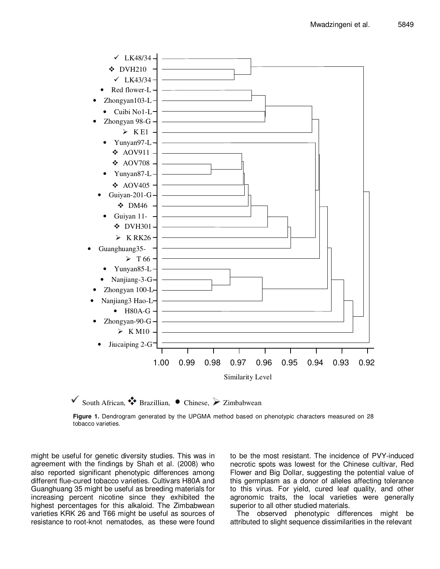

South African,  $\bullet$  Brazillian,  $\bullet$  Chinese,  $\triangleright$  Zimbabwean

**Figure 1.** Dendrogram generated by the UPGMA method based on phenotypic characters measured on 28 tobacco varieties.

might be useful for genetic diversity studies. This was in agreement with the findings by Shah et al. (2008) who also reported significant phenotypic differences among different flue-cured tobacco varieties. Cultivars H80A and Guanghuang 35 might be useful as breeding materials for increasing percent nicotine since they exhibited the highest percentages for this alkaloid. The Zimbabwean varieties KRK 26 and T66 might be useful as sources of resistance to root-knot nematodes, as these were found

to be the most resistant. The incidence of PVY-induced necrotic spots was lowest for the Chinese cultivar, Red Flower and Big Dollar, suggesting the potential value of this germplasm as a donor of alleles affecting tolerance to this virus. For yield, cured leaf quality, and other agronomic traits, the local varieties were generally superior to all other studied materials.

The observed phenotypic differences might be attributed to slight sequence dissimilarities in the relevant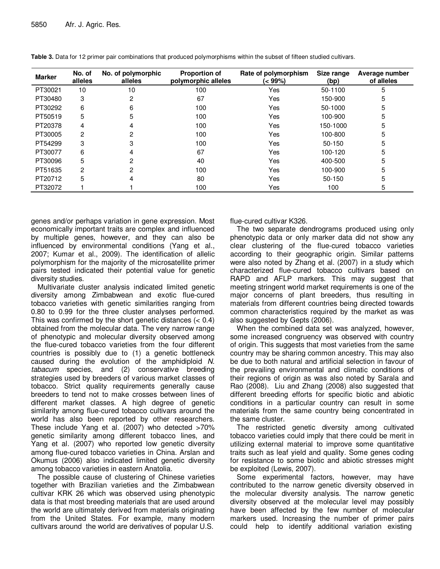| <b>Marker</b> | No. of<br>alleles | No. of polymorphic<br>alleles | <b>Proportion of</b><br>polymorphic alleles | Rate of polymorphism<br>(< 99%) | Size range<br>(bp) | Average number<br>of alleles |
|---------------|-------------------|-------------------------------|---------------------------------------------|---------------------------------|--------------------|------------------------------|
| PT30021       | 10                | 10                            | 100                                         | Yes                             | 50-1100            | 5                            |
| PT30480       | 3                 | 2                             | 67                                          | Yes                             | 150-900            | 5                            |
| PT30292       | 6                 | 6                             | 100                                         | Yes                             | 50-1000            | 5                            |
| PT50519       | 5                 | 5                             | 100                                         | Yes                             | 100-900            | 5                            |
| PT20378       | 4                 | 4                             | 100                                         | Yes                             | 150-1000           | 5                            |
| PT30005       | 2                 | 2                             | 100                                         | Yes                             | 100-800            | 5                            |
| PT54299       | 3                 | 3                             | 100                                         | Yes                             | $50-150$           | 5                            |
| PT30077       | 6                 | 4                             | 67                                          | Yes                             | 100-120            | 5                            |
| PT30096       | 5                 | 2                             | 40                                          | Yes                             | 400-500            | 5                            |
| PT51635       | 2                 | 2                             | 100                                         | Yes                             | 100-900            | 5                            |
| PT20712       | 5                 | 4                             | 80                                          | Yes                             | 50-150             | 5                            |
| PT32072       |                   |                               | 100                                         | Yes                             | 100                | 5                            |

**Table 3.** Data for 12 primer pair combinations that produced polymorphisms within the subset of fifteen studied cultivars.

genes and/or perhaps variation in gene expression. Most economically important traits are complex and influenced by multiple genes, however, and they can also be influenced by environmental conditions (Yang et al., 2007; Kumar et al., 2009). The identification of allelic polymorphism for the majority of the microsatellite primer pairs tested indicated their potential value for genetic diversity studies.

Multivariate cluster analysis indicated limited genetic diversity among Zimbabwean and exotic flue-cured tobacco varieties with genetic similarities ranging from 0.80 to 0.99 for the three cluster analyses performed. This was confirmed by the short genetic distances  $( $0.4$ )$ obtained from the molecular data. The very narrow range of phenotypic and molecular diversity observed among the flue-cured tobacco varieties from the four different countries is possibly due to (1) a genetic bottleneck caused during the evolution of the amphidiploid N. tabacum species, and (2) conservative breeding strategies used by breeders of various market classes of tobacco. Strict quality requirements generally cause breeders to tend not to make crosses between lines of different market classes. A high degree of genetic similarity among flue-cured tobacco cultivars around the world has also been reported by other researchers. These include Yang et al. (2007) who detected >70% genetic similarity among different tobacco lines, and Yang et al. (2007) who reported low genetic diversity among flue-cured tobacco varieties in China. Arslan and Okumus (2006) also indicated limited genetic diversity among tobacco varieties in eastern Anatolia.

The possible cause of clustering of Chinese varieties together with Brazilian varieties and the Zimbabwean cultivar KRK 26 which was observed using phenotypic data is that most breeding materials that are used around the world are ultimately derived from materials originating from the United States. For example, many modern cultivars around the world are derivatives of popular U.S.

flue-cured cultivar K326.

The two separate dendrograms produced using only phenotypic data or only marker data did not show any clear clustering of the flue-cured tobacco varieties according to their geographic origin. Similar patterns were also noted by Zhang et al. (2007) in a study which characterized flue-cured tobacco cultivars based on RAPD and AFLP markers. This may suggest that meeting stringent world market requirements is one of the major concerns of plant breeders, thus resulting in materials from different countries being directed towards common characteristics required by the market as was also suggested by Gepts (2006).

When the combined data set was analyzed, however, some increased congruency was observed with country of origin. This suggests that most varieties from the same country may be sharing common ancestry. This may also be due to both natural and artificial selection in favour of the prevailing environmental and climatic conditions of their regions of origin as was also noted by Sarala and Rao (2008). Liu and Zhang (2008) also suggested that different breeding efforts for specific biotic and abiotic conditions in a particular country can result in some materials from the same country being concentrated in the same cluster.

The restricted genetic diversity among cultivated tobacco varieties could imply that there could be merit in utilizing external material to improve some quantitative traits such as leaf yield and quality. Some genes coding for resistance to some biotic and abiotic stresses might be exploited (Lewis, 2007).

Some experimental factors, however, may have contributed to the narrow genetic diversity observed in the molecular diversity analysis. The narrow genetic diversity observed at the molecular level may possibly have been affected by the few number of molecular markers used. Increasing the number of primer pairs could help to identify additional variation existing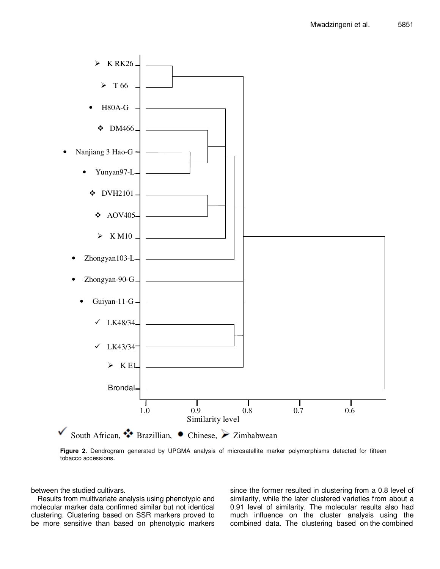

**Figure 2.** Dendrogram generated by UPGMA analysis of microsatellite marker polymorphisms detected for fifteen tobacco accessions.

between the studied cultivars.

Results from multivariate analysis using phenotypic and molecular marker data confirmed similar but not identical clustering. Clustering based on SSR markers proved to be more sensitive than based on phenotypic markers

since the former resulted in clustering from a 0.8 level of similarity, while the later clustered varieties from about a 0.91 level of similarity. The molecular results also had much influence on the cluster analysis using the combined data. The clustering based on the combined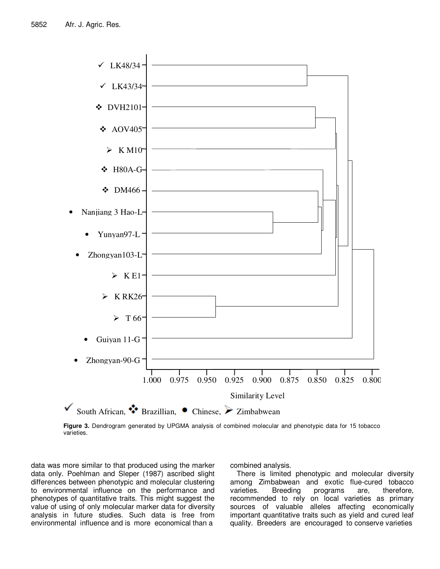

**Figure 3.** Dendrogram generated by UPGMA analysis of combined molecular and phenotypic data for 15 tobacco varieties.

data was more similar to that produced using the marker data only. Poehlman and Sleper (1987) ascribed slight differences between phenotypic and molecular clustering to environmental influence on the performance and phenotypes of quantitative traits. This might suggest the value of using of only molecular marker data for diversity analysis in future studies. Such data is free from environmental influence and is more economical than a

combined analysis.

There is limited phenotypic and molecular diversity among Zimbabwean and exotic flue-cured tobacco varieties. Breeding programs are, therefore, recommended to rely on local varieties as primary sources of valuable alleles affecting economically important quantitative traits such as yield and cured leaf quality. Breeders are encouraged to conserve varieties